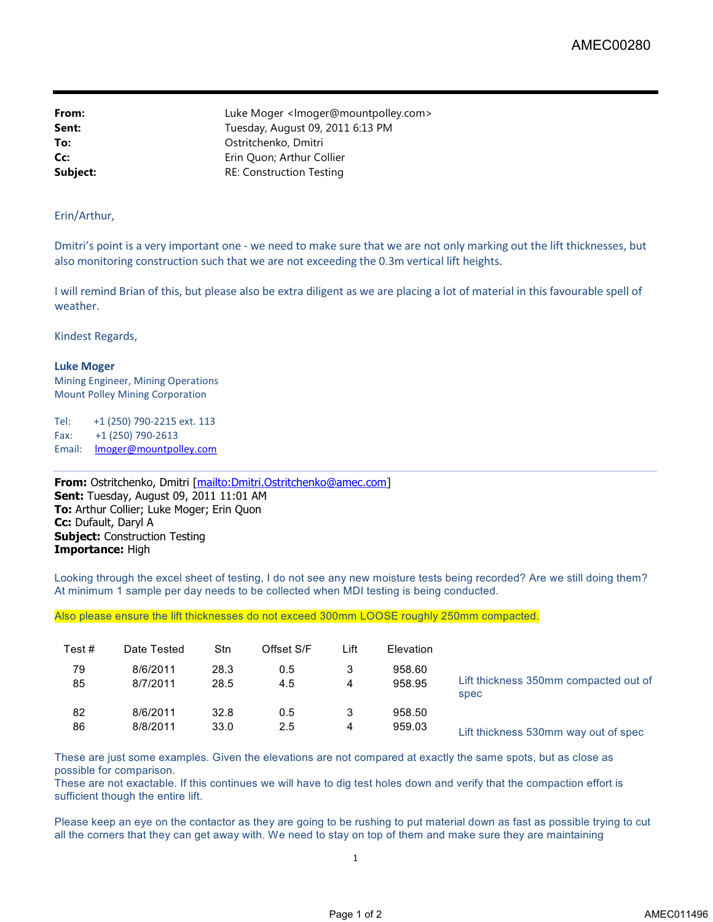**From:** Example 2.1 Luke Moger </a> knowledger@mountpolley.com> **Sent:** Tuesday, August 09, 2011 6:13 PM **To:** Ostritchenko, Dmitri **Cc:** Erin Quon; Arthur Collier **Subject:** RE: Construction Testing

## Erin/Arthur,

Dmitri's point is a very important one - we need to make sure that we are not only marking out the lift thicknesses, but also monitoring construction such that we are not exceeding the 0.3m vertical lift heights.

I will remind Brian of this, but please also be extra diligent as we are placing a lot of material in this favourable spell of weather.

Kindest Regards,

## **Luke Moger**

Mining Engineer, Mining Operations Mount Polley Mining Corporation

Tel: +1 (250) 790-2215 ext. 113 Fax: +1 (250) 790-2613 Email: **Imoger@mountpolley.com** 

**From:** Ostritchenko, Dmitri [mailto:Dmitri.Ostritchenko@amec.com] **Sent:** Tuesday, August 09, 2011 11:01 AM **To:** Arthur Collier; Luke Moger; Erin Quon **Cc:** Dufault, Daryl A **Subject:** Construction Testing **Importance:** High

Looking through the excel sheet of testing, I do not see any new moisture tests being recorded? Are we still doing them? At minimum 1 sample per day needs to be collected when MDI testing is being conducted.

Also please ensure the lift thicknesses do not exceed 300mm LOOSE roughly 250mm compacted.

| Test# | Date Tested | Stn  | Offset S/F | Lift | Elevation |                                       |
|-------|-------------|------|------------|------|-----------|---------------------------------------|
| 79    | 8/6/2011    | 28.3 | 0.5        | 3    | 958.60    | Lift thickness 350mm compacted out of |
| 85    | 8/7/2011    | 28.5 | 4.5        | 4    | 958.95    | spec                                  |
| 82    | 8/6/2011    | 32.8 | 0.5        | 3    | 958.50    | Lift thickness 530mm way out of spec  |
| 86    | 8/8/2011    | 33.0 | 2.5        | 4    | 959.03    |                                       |

These are just some examples. Given the elevations are not compared at exactly the same spots, but as close as possible for comparison.

These are not exactable. If this continues we will have to dig test holes down and verify that the compaction effort is sufficient though the entire lift.

Please keep an eye on the contactor as they are going to be rushing to put material down as fast as possible trying to cut all the corners that they can get away with. We need to stay on top of them and make sure they are maintaining